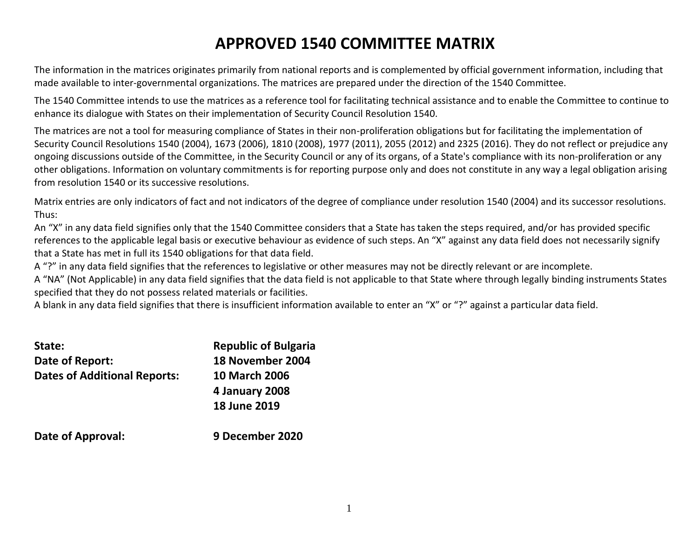# **APPROVED 1540 COMMITTEE MATRIX**

The information in the matrices originates primarily from national reports and is complemented by official government information, including that made available to inter-governmental organizations. The matrices are prepared under the direction of the 1540 Committee.

The 1540 Committee intends to use the matrices as a reference tool for facilitating technical assistance and to enable the Committee to continue to enhance its dialogue with States on their implementation of Security Council Resolution 1540.

The matrices are not a tool for measuring compliance of States in their non-proliferation obligations but for facilitating the implementation of Security Council Resolutions 1540 (2004), 1673 (2006), 1810 (2008), 1977 (2011), 2055 (2012) and 2325 (2016). They do not reflect or prejudice any ongoing discussions outside of the Committee, in the Security Council or any of its organs, of a State's compliance with its non-proliferation or any other obligations. Information on voluntary commitments is for reporting purpose only and does not constitute in any way a legal obligation arising from resolution 1540 or its successive resolutions.

Matrix entries are only indicators of fact and not indicators of the degree of compliance under resolution 1540 (2004) and its successor resolutions. Thus:

An "X" in any data field signifies only that the 1540 Committee considers that a State has taken the steps required, and/or has provided specific references to the applicable legal basis or executive behaviour as evidence of such steps. An "X" against any data field does not necessarily signify that a State has met in full its 1540 obligations for that data field.

A "?" in any data field signifies that the references to legislative or other measures may not be directly relevant or are incomplete.

A "NA" (Not Applicable) in any data field signifies that the data field is not applicable to that State where through legally binding instruments States specified that they do not possess related materials or facilities.

A blank in any data field signifies that there is insufficient information available to enter an "X" or "?" against a particular data field.

| State:                              | <b>Republic of Bulgaria</b> |
|-------------------------------------|-----------------------------|
| Date of Report:                     | 18 November 2004            |
| <b>Dates of Additional Reports:</b> | <b>10 March 2006</b>        |
|                                     | 4 January 2008              |
|                                     | <b>18 June 2019</b>         |
| Date of Approval:                   | 9 December 2020             |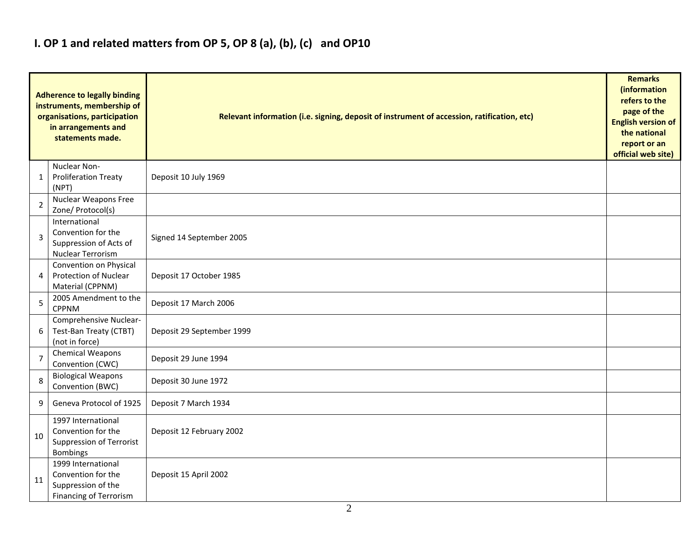## **I. OP 1 and related matters from OP 5, OP 8 (a), (b), (c) and OP10**

|                | <b>Adherence to legally binding</b><br>instruments, membership of<br>organisations, participation<br>in arrangements and<br>statements made. | Relevant information (i.e. signing, deposit of instrument of accession, ratification, etc) |  |  |  |  |  |  |  |  |
|----------------|----------------------------------------------------------------------------------------------------------------------------------------------|--------------------------------------------------------------------------------------------|--|--|--|--|--|--|--|--|
| 1              | Nuclear Non-<br><b>Proliferation Treaty</b><br>(NPT)                                                                                         | Deposit 10 July 1969                                                                       |  |  |  |  |  |  |  |  |
| 2              | Nuclear Weapons Free<br>Zone/ Protocol(s)                                                                                                    |                                                                                            |  |  |  |  |  |  |  |  |
| 3              | International<br>Convention for the<br>Suppression of Acts of<br>Nuclear Terrorism                                                           | Signed 14 September 2005                                                                   |  |  |  |  |  |  |  |  |
| 4              | Convention on Physical<br><b>Protection of Nuclear</b><br>Material (CPPNM)                                                                   | Deposit 17 October 1985                                                                    |  |  |  |  |  |  |  |  |
| 5              | 2005 Amendment to the<br><b>CPPNM</b>                                                                                                        | Deposit 17 March 2006                                                                      |  |  |  |  |  |  |  |  |
| 6              | Comprehensive Nuclear-<br>Test-Ban Treaty (CTBT)<br>(not in force)                                                                           | Deposit 29 September 1999                                                                  |  |  |  |  |  |  |  |  |
| $\overline{7}$ | Chemical Weapons<br>Convention (CWC)                                                                                                         | Deposit 29 June 1994                                                                       |  |  |  |  |  |  |  |  |
| 8              | <b>Biological Weapons</b><br>Convention (BWC)                                                                                                | Deposit 30 June 1972                                                                       |  |  |  |  |  |  |  |  |
| 9              | Geneva Protocol of 1925                                                                                                                      | Deposit 7 March 1934                                                                       |  |  |  |  |  |  |  |  |
| 10             | 1997 International<br>Convention for the<br>Suppression of Terrorist<br><b>Bombings</b>                                                      | Deposit 12 February 2002                                                                   |  |  |  |  |  |  |  |  |
| 11             | 1999 International<br>Convention for the<br>Suppression of the<br><b>Financing of Terrorism</b>                                              | Deposit 15 April 2002                                                                      |  |  |  |  |  |  |  |  |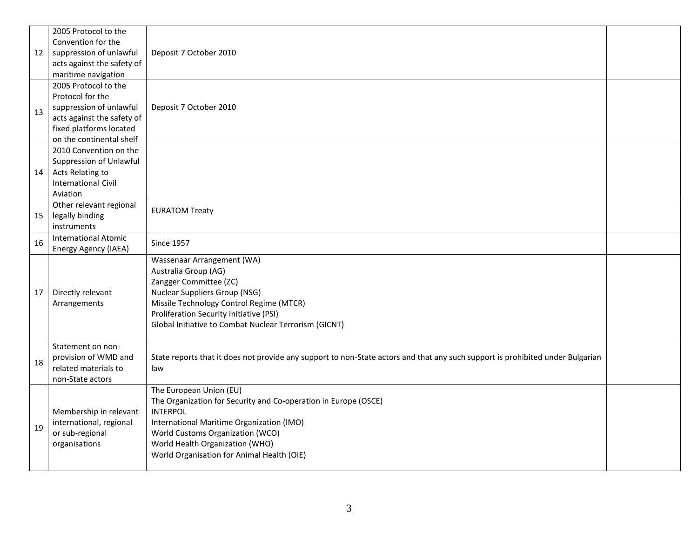|    | 2005 Protocol to the        |                                                                                                                                |  |  |  |  |  |  |  |
|----|-----------------------------|--------------------------------------------------------------------------------------------------------------------------------|--|--|--|--|--|--|--|
|    | Convention for the          |                                                                                                                                |  |  |  |  |  |  |  |
| 12 | suppression of unlawful     | Deposit 7 October 2010                                                                                                         |  |  |  |  |  |  |  |
|    | acts against the safety of  |                                                                                                                                |  |  |  |  |  |  |  |
|    | maritime navigation         |                                                                                                                                |  |  |  |  |  |  |  |
|    | 2005 Protocol to the        |                                                                                                                                |  |  |  |  |  |  |  |
|    | Protocol for the            |                                                                                                                                |  |  |  |  |  |  |  |
| 13 | suppression of unlawful     | Deposit 7 October 2010                                                                                                         |  |  |  |  |  |  |  |
|    | acts against the safety of  |                                                                                                                                |  |  |  |  |  |  |  |
|    | fixed platforms located     |                                                                                                                                |  |  |  |  |  |  |  |
|    | on the continental shelf    |                                                                                                                                |  |  |  |  |  |  |  |
|    | 2010 Convention on the      |                                                                                                                                |  |  |  |  |  |  |  |
|    | Suppression of Unlawful     |                                                                                                                                |  |  |  |  |  |  |  |
| 14 | Acts Relating to            |                                                                                                                                |  |  |  |  |  |  |  |
|    | <b>International Civil</b>  |                                                                                                                                |  |  |  |  |  |  |  |
|    | Aviation                    |                                                                                                                                |  |  |  |  |  |  |  |
|    | Other relevant regional     | <b>EURATOM Treaty</b>                                                                                                          |  |  |  |  |  |  |  |
| 15 | legally binding             |                                                                                                                                |  |  |  |  |  |  |  |
|    | instruments                 |                                                                                                                                |  |  |  |  |  |  |  |
| 16 | <b>International Atomic</b> | <b>Since 1957</b>                                                                                                              |  |  |  |  |  |  |  |
|    | Energy Agency (IAEA)        |                                                                                                                                |  |  |  |  |  |  |  |
|    |                             | Wassenaar Arrangement (WA)                                                                                                     |  |  |  |  |  |  |  |
|    |                             | Australia Group (AG)                                                                                                           |  |  |  |  |  |  |  |
|    |                             | Zangger Committee (ZC)                                                                                                         |  |  |  |  |  |  |  |
| 17 | Directly relevant           | Nuclear Suppliers Group (NSG)                                                                                                  |  |  |  |  |  |  |  |
|    | Arrangements                | Missile Technology Control Regime (MTCR)                                                                                       |  |  |  |  |  |  |  |
|    |                             | Proliferation Security Initiative (PSI)                                                                                        |  |  |  |  |  |  |  |
|    |                             | Global Initiative to Combat Nuclear Terrorism (GICNT)                                                                          |  |  |  |  |  |  |  |
|    |                             |                                                                                                                                |  |  |  |  |  |  |  |
|    | Statement on non-           |                                                                                                                                |  |  |  |  |  |  |  |
| 18 | provision of WMD and        | State reports that it does not provide any support to non-State actors and that any such support is prohibited under Bulgarian |  |  |  |  |  |  |  |
|    | related materials to        | law                                                                                                                            |  |  |  |  |  |  |  |
|    | non-State actors            |                                                                                                                                |  |  |  |  |  |  |  |
|    |                             | The European Union (EU)                                                                                                        |  |  |  |  |  |  |  |
|    |                             | The Organization for Security and Co-operation in Europe (OSCE)                                                                |  |  |  |  |  |  |  |
|    | Membership in relevant      | <b>INTERPOL</b>                                                                                                                |  |  |  |  |  |  |  |
| 19 | international, regional     | International Maritime Organization (IMO)                                                                                      |  |  |  |  |  |  |  |
|    | or sub-regional             | World Customs Organization (WCO)                                                                                               |  |  |  |  |  |  |  |
|    | organisations               | World Health Organization (WHO)                                                                                                |  |  |  |  |  |  |  |
|    |                             | World Organisation for Animal Health (OIE)                                                                                     |  |  |  |  |  |  |  |
|    |                             |                                                                                                                                |  |  |  |  |  |  |  |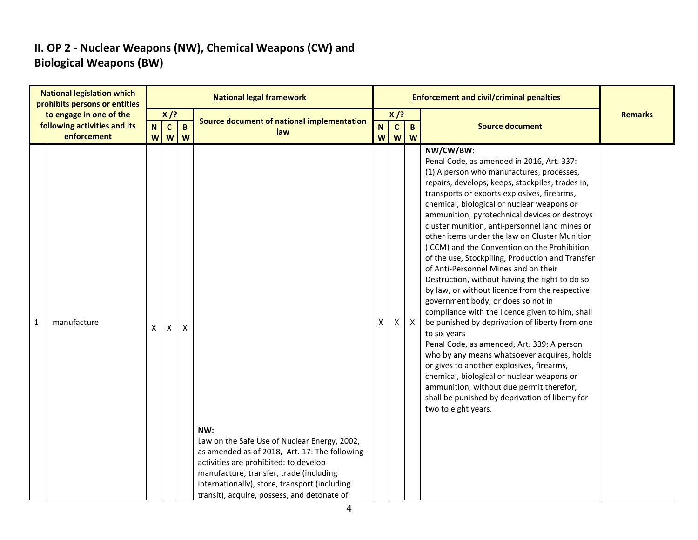### **II. OP 2 - Nuclear Weapons (NW), Chemical Weapons (CW) and Biological Weapons (BW)**

|   | <b>National legislation which</b><br>prohibits persons or entities     | <b>National legal framework</b> |                                                         |   |                                                                                                                                                                                                                                                                                          |   |                                                           | <b>Enforcement and civil/criminal penalties</b> |                                                                                                                                                                                                                                                                                                                                                                                                                                                                                                                                                                                                                                                                                                                                                                                                                                                                                                                                                                                                                                                                                                                                  |                |  |  |
|---|------------------------------------------------------------------------|---------------------------------|---------------------------------------------------------|---|------------------------------------------------------------------------------------------------------------------------------------------------------------------------------------------------------------------------------------------------------------------------------------------|---|-----------------------------------------------------------|-------------------------------------------------|----------------------------------------------------------------------------------------------------------------------------------------------------------------------------------------------------------------------------------------------------------------------------------------------------------------------------------------------------------------------------------------------------------------------------------------------------------------------------------------------------------------------------------------------------------------------------------------------------------------------------------------------------------------------------------------------------------------------------------------------------------------------------------------------------------------------------------------------------------------------------------------------------------------------------------------------------------------------------------------------------------------------------------------------------------------------------------------------------------------------------------|----------------|--|--|
|   | to engage in one of the<br>following activities and its<br>enforcement | $\mathbf N$                     | $X$ /?<br>$\mathbf{c}$<br>$\overline{B}$<br>W<br>W<br>W |   | Source document of national implementation<br>law                                                                                                                                                                                                                                        |   | $X$ /?<br>$\overline{c}$<br>$\overline{B}$<br>N.<br>w w w |                                                 | <b>Source document</b>                                                                                                                                                                                                                                                                                                                                                                                                                                                                                                                                                                                                                                                                                                                                                                                                                                                                                                                                                                                                                                                                                                           | <b>Remarks</b> |  |  |
| 1 | manufacture                                                            | X                               | $\mathsf{X}$                                            | X | NW:<br>Law on the Safe Use of Nuclear Energy, 2002,<br>as amended as of 2018, Art. 17: The following<br>activities are prohibited: to develop<br>manufacture, transfer, trade (including<br>internationally), store, transport (including<br>transit), acquire, possess, and detonate of | X | X                                                         | $\boldsymbol{\mathsf{X}}$                       | NW/CW/BW:<br>Penal Code, as amended in 2016, Art. 337:<br>(1) A person who manufactures, processes,<br>repairs, develops, keeps, stockpiles, trades in,<br>transports or exports explosives, firearms,<br>chemical, biological or nuclear weapons or<br>ammunition, pyrotechnical devices or destroys<br>cluster munition, anti-personnel land mines or<br>other items under the law on Cluster Munition<br>(CCM) and the Convention on the Prohibition<br>of the use, Stockpiling, Production and Transfer<br>of Anti-Personnel Mines and on their<br>Destruction, without having the right to do so<br>by law, or without licence from the respective<br>government body, or does so not in<br>compliance with the licence given to him, shall<br>be punished by deprivation of liberty from one<br>to six years<br>Penal Code, as amended, Art. 339: A person<br>who by any means whatsoever acquires, holds<br>or gives to another explosives, firearms,<br>chemical, biological or nuclear weapons or<br>ammunition, without due permit therefor,<br>shall be punished by deprivation of liberty for<br>two to eight years. |                |  |  |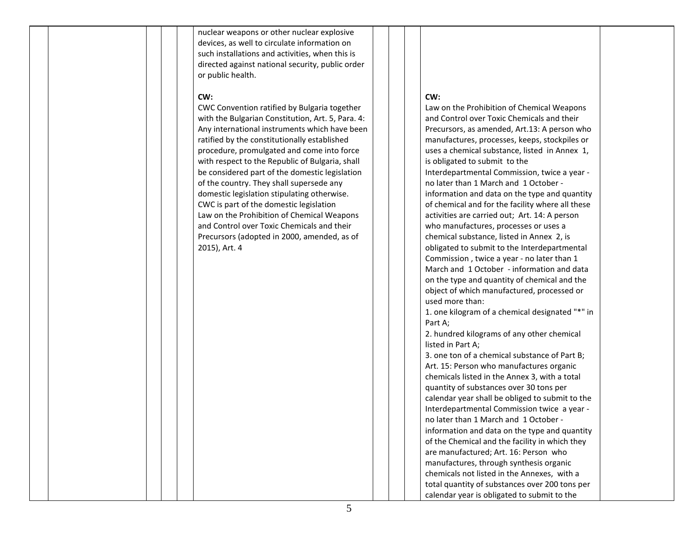nuclear weapons or other nuclear explosive devices, as well to circulate information on such installations and activities, when this is directed against national security, public order or public health.

#### **CW:**

CWC Convention ratified by Bulgaria together with the Bulgarian Constitution, Art. 5, Para. 4: Any international instruments which have been ratified by the constitutionally established procedure, promulgated and come into force with respect to the Republic of Bulgaria, shall be considered part of the domestic legislation of the country. They shall supersede any domestic legislation stipulating otherwise. CWC is part of the domestic legislation Law on the Prohibition of Chemical Weapons and Control over Toxic Chemicals and their Precursors (adopted in 2000, amended, as of 2015), Art. 4

#### **CW:**

Law on the Prohibition of Chemical Weapons and Control over Toxic Chemicals and their Precursors, as amended, Art.13: A person who manufactures, processes, keeps, stockpiles or uses a chemical substance, listed in Annex 1, is obligated to submit to the Interdepartmental Commission, twice a year no later than 1 March and 1 October information and data on the type and quantity of chemical and for the facility where all these activities are carried out; Art. 14: A person who manufactures, processes or uses a chemical substance, listed in Annex 2, is obligated to submit to the Interdepartmental Commission , twice a year - no later than 1 March and 1 October - information and data on the type and quantity of chemical and the object of which manufactured, processed or used more than: 1. one kilogram of a chemical designated "\*" in Part A; 2. hundred kilograms of any other chemical listed in Part A; 3. one ton of a chemical substance of Part B; Art. 15: Person who manufactures organic chemicals listed in the Annex 3, with a total quantity of substances over 30 tons per calendar year shall be obliged to submit to the Interdepartmental Commission twice a year no later than 1 March and 1 October information and data on the type and quantity of the Chemical and the facility in which they are manufactured; Art. 16: Person who manufactures, through synthesis organic chemicals not listed in the Annexes, with a total quantity of substances over 200 tons per calendar year is obligated to submit to the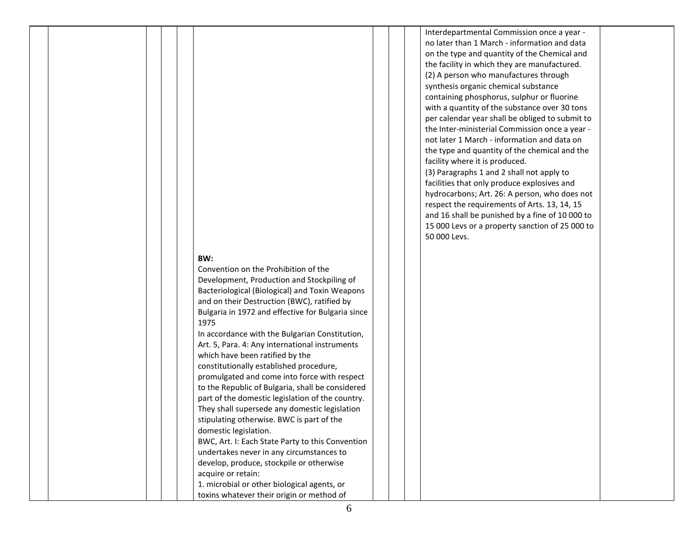#### **BW:**

Convention on the Prohibition of the Development, Production and Stockpiling of Bacteriological (Biological) and Toxin Weapons and on their Destruction (BWC), ratified by Bulgaria in 1972 and effective for Bulgaria since 1975

In accordance with the Bulgarian Constitution, Art. 5, Para. 4: Any international instruments which have been ratified by the constitutionally established procedure, promulgated and come into force with respect to the Republic of Bulgaria, shall be considered part of the domestic legislation of the country. They shall supersede any domestic legislation stipulating otherwise. BWC is part of the domestic legislation. BWC, Art. I: Each State Party to this Convention

undertakes never in any circumstances to develop, produce, stockpile or otherwise acquire or retain: 1. microbial or other biological agents, or

toxins whatever their origin or method of

Interdepartmental Commission once a year no later than 1 March - information and data on the type and quantity of the Chemical and the facility in which they are manufactured. (2) A person who manufactures through synthesis organic chemical substance containing phosphorus, sulphur or fluorine with a quantity of the substance over 30 tons per calendar year shall be obliged to submit to the Inter-ministerial Commission once a year not later 1 March - information and data on the type and quantity of the chemical and the facility where it is produced. (3) Paragraphs 1 and 2 shall not apply to facilities that only produce explosives and hydrocarbons; Art. 26: A person, who does not respect the requirements of Arts. 13, 14, 15 and 16 shall be punished by a fine of 10 000 to 15 000 Levs or a property sanction of 25 000 to 50 000 Levs.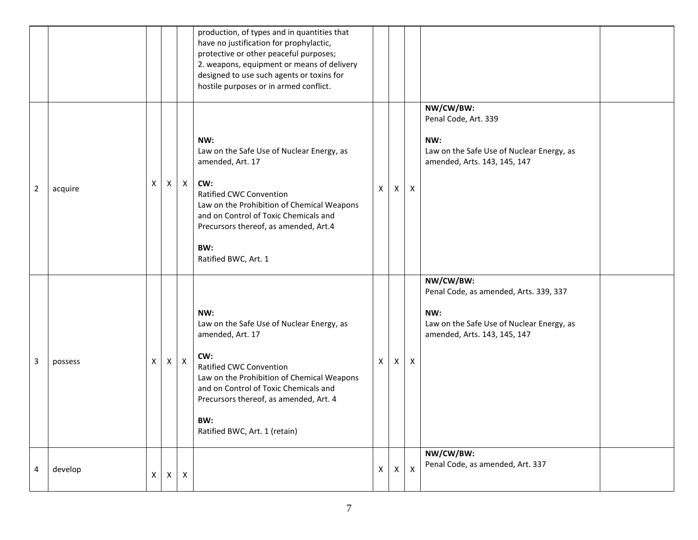|   |         |                |              |                    | production, of types and in quantities that<br>have no justification for prophylactic,<br>protective or other peaceful purposes;<br>2. weapons, equipment or means of delivery<br>designed to use such agents or toxins for<br>hostile purposes or in armed conflict.           |                |              |              |                                                                                                                                         |
|---|---------|----------------|--------------|--------------------|---------------------------------------------------------------------------------------------------------------------------------------------------------------------------------------------------------------------------------------------------------------------------------|----------------|--------------|--------------|-----------------------------------------------------------------------------------------------------------------------------------------|
| 2 | acquire | X              | X            | $\mathsf{X}$       | NW:<br>Law on the Safe Use of Nuclear Energy, as<br>amended, Art. 17<br>CW:<br>Ratified CWC Convention<br>Law on the Prohibition of Chemical Weapons<br>and on Control of Toxic Chemicals and<br>Precursors thereof, as amended, Art.4<br>BW:<br>Ratified BWC, Art. 1           | X              | $\mathsf{X}$ | X            | NW/CW/BW:<br>Penal Code, Art. 339<br>NW:<br>Law on the Safe Use of Nuclear Energy, as<br>amended, Arts. 143, 145, 147                   |
| 3 | possess | $\times$       |              | $X \mid X$         | NW:<br>Law on the Safe Use of Nuclear Energy, as<br>amended, Art. 17<br>CW:<br>Ratified CWC Convention<br>Law on the Prohibition of Chemical Weapons<br>and on Control of Toxic Chemicals and<br>Precursors thereof, as amended, Art. 4<br>BW:<br>Ratified BWC, Art. 1 (retain) | $\mathsf{X}$   | X            | X            | NW/CW/BW:<br>Penal Code, as amended, Arts. 339, 337<br>NW:<br>Law on the Safe Use of Nuclear Energy, as<br>amended, Arts. 143, 145, 147 |
| 4 | develop | $\mathsf{X}^-$ | $\mathsf{X}$ | $\pmb{\mathsf{X}}$ |                                                                                                                                                                                                                                                                                 | $\pmb{\times}$ | $\mathsf{X}$ | $\mathsf{X}$ | NW/CW/BW:<br>Penal Code, as amended, Art. 337                                                                                           |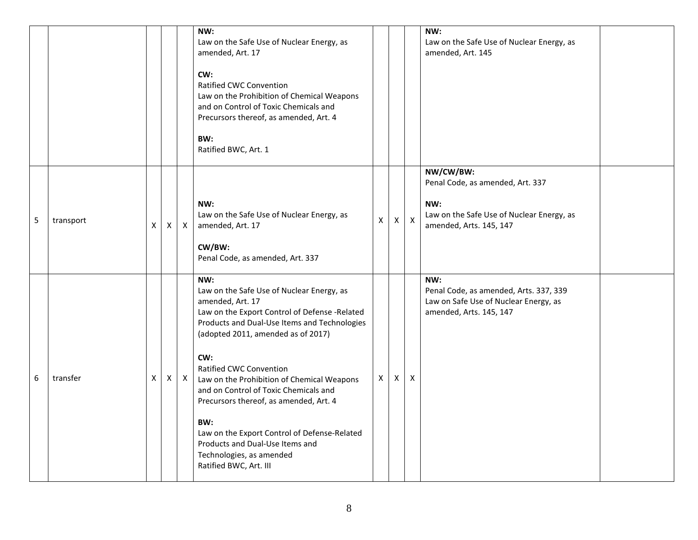|   |           |   |                           |              | NW:<br>Law on the Safe Use of Nuclear Energy, as<br>amended, Art. 17<br>CW:<br>Ratified CWC Convention<br>Law on the Prohibition of Chemical Weapons<br>and on Control of Toxic Chemicals and<br>Precursors thereof, as amended, Art. 4<br>BW:<br>Ratified BWC, Art. 1                                                                                                                                                                                                                                                         |              |   |                           | NW:<br>Law on the Safe Use of Nuclear Energy, as<br>amended, Art. 145                                                        |  |
|---|-----------|---|---------------------------|--------------|--------------------------------------------------------------------------------------------------------------------------------------------------------------------------------------------------------------------------------------------------------------------------------------------------------------------------------------------------------------------------------------------------------------------------------------------------------------------------------------------------------------------------------|--------------|---|---------------------------|------------------------------------------------------------------------------------------------------------------------------|--|
| 5 | transport | X | $\boldsymbol{\mathsf{X}}$ | $\mathsf{X}$ | NW:<br>Law on the Safe Use of Nuclear Energy, as<br>amended, Art. 17<br>CW/BW:<br>Penal Code, as amended, Art. 337                                                                                                                                                                                                                                                                                                                                                                                                             | $\mathsf{X}$ | X | $\boldsymbol{\mathsf{X}}$ | NW/CW/BW:<br>Penal Code, as amended, Art. 337<br>NW:<br>Law on the Safe Use of Nuclear Energy, as<br>amended, Arts. 145, 147 |  |
| 6 | transfer  | X | $\mathsf{X}$              | $\mathsf{X}$ | NW:<br>Law on the Safe Use of Nuclear Energy, as<br>amended, Art. 17<br>Law on the Export Control of Defense -Related<br>Products and Dual-Use Items and Technologies<br>(adopted 2011, amended as of 2017)<br>CW:<br>Ratified CWC Convention<br>Law on the Prohibition of Chemical Weapons<br>and on Control of Toxic Chemicals and<br>Precursors thereof, as amended, Art. 4<br>BW:<br>Law on the Export Control of Defense-Related<br>Products and Dual-Use Items and<br>Technologies, as amended<br>Ratified BWC, Art. III | X            | X | X                         | NW:<br>Penal Code, as amended, Arts. 337, 339<br>Law on Safe Use of Nuclear Energy, as<br>amended, Arts. 145, 147            |  |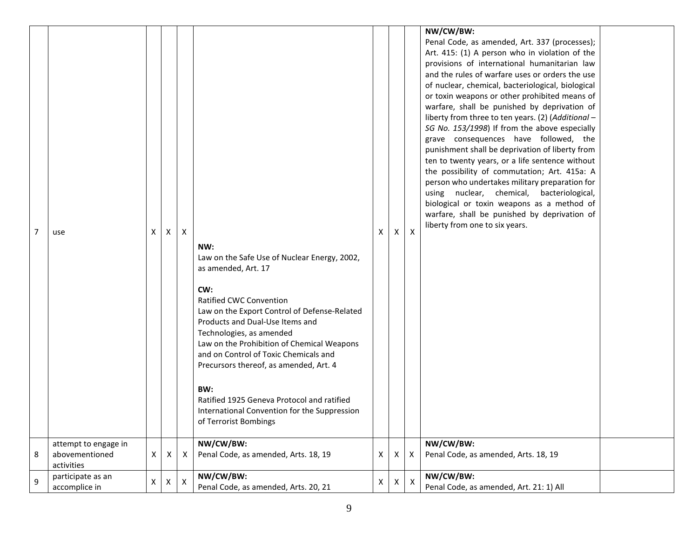| $\overline{7}$   | use                                                  | Χ | $\mathsf{X}$ | $\mathsf{X}$ | NW:<br>Law on the Safe Use of Nuclear Energy, 2002,<br>as amended, Art. 17<br>CW:<br>Ratified CWC Convention<br>Law on the Export Control of Defense-Related<br>Products and Dual-Use Items and<br>Technologies, as amended<br>Law on the Prohibition of Chemical Weapons<br>and on Control of Toxic Chemicals and<br>Precursors thereof, as amended, Art. 4<br>BW:<br>Ratified 1925 Geneva Protocol and ratified<br>International Convention for the Suppression<br>of Terrorist Bombings | X | X | $\mathsf{x}$ | NW/CW/BW:<br>Penal Code, as amended, Art. 337 (processes);<br>Art. 415: (1) A person who in violation of the<br>provisions of international humanitarian law<br>and the rules of warfare uses or orders the use<br>of nuclear, chemical, bacteriological, biological<br>or toxin weapons or other prohibited means of<br>warfare, shall be punished by deprivation of<br>liberty from three to ten years. (2) (Additional -<br>SG No. 153/1998) If from the above especially<br>grave consequences have followed, the<br>punishment shall be deprivation of liberty from<br>ten to twenty years, or a life sentence without<br>the possibility of commutation; Art. 415a: A<br>person who undertakes military preparation for<br>using nuclear, chemical, bacteriological,<br>biological or toxin weapons as a method of<br>warfare, shall be punished by deprivation of<br>liberty from one to six years. |  |
|------------------|------------------------------------------------------|---|--------------|--------------|--------------------------------------------------------------------------------------------------------------------------------------------------------------------------------------------------------------------------------------------------------------------------------------------------------------------------------------------------------------------------------------------------------------------------------------------------------------------------------------------|---|---|--------------|------------------------------------------------------------------------------------------------------------------------------------------------------------------------------------------------------------------------------------------------------------------------------------------------------------------------------------------------------------------------------------------------------------------------------------------------------------------------------------------------------------------------------------------------------------------------------------------------------------------------------------------------------------------------------------------------------------------------------------------------------------------------------------------------------------------------------------------------------------------------------------------------------------|--|
| 8                | attempt to engage in<br>abovementioned<br>activities | X | Χ            | X            | NW/CW/BW:<br>Penal Code, as amended, Arts. 18, 19                                                                                                                                                                                                                                                                                                                                                                                                                                          | X | X | Х            | NW/CW/BW:<br>Penal Code, as amended, Arts. 18, 19                                                                                                                                                                                                                                                                                                                                                                                                                                                                                                                                                                                                                                                                                                                                                                                                                                                          |  |
| $\boldsymbol{9}$ | participate as an<br>accomplice in                   | X | X            | $\mathsf{X}$ | NW/CW/BW:<br>Penal Code, as amended, Arts. 20, 21                                                                                                                                                                                                                                                                                                                                                                                                                                          | X | X | X            | NW/CW/BW:<br>Penal Code, as amended, Art. 21: 1) All                                                                                                                                                                                                                                                                                                                                                                                                                                                                                                                                                                                                                                                                                                                                                                                                                                                       |  |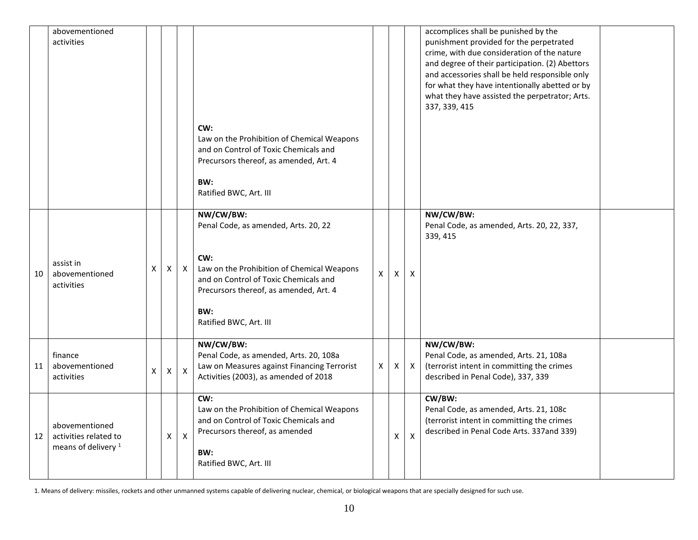|    | abovementioned<br>activities                                              |   |              |              | CW:                                                                                                                                                                                                                        |              |              |                           | accomplices shall be punished by the<br>punishment provided for the perpetrated<br>crime, with due consideration of the nature<br>and degree of their participation. (2) Abettors<br>and accessories shall be held responsible only<br>for what they have intentionally abetted or by<br>what they have assisted the perpetrator; Arts.<br>337, 339, 415 |
|----|---------------------------------------------------------------------------|---|--------------|--------------|----------------------------------------------------------------------------------------------------------------------------------------------------------------------------------------------------------------------------|--------------|--------------|---------------------------|----------------------------------------------------------------------------------------------------------------------------------------------------------------------------------------------------------------------------------------------------------------------------------------------------------------------------------------------------------|
|    |                                                                           |   |              |              | Law on the Prohibition of Chemical Weapons<br>and on Control of Toxic Chemicals and<br>Precursors thereof, as amended, Art. 4<br>BW:<br>Ratified BWC, Art. III                                                             |              |              |                           |                                                                                                                                                                                                                                                                                                                                                          |
| 10 | assist in<br>abovementioned<br>activities                                 | X | X            | $\mathsf{X}$ | NW/CW/BW:<br>Penal Code, as amended, Arts. 20, 22<br>CW:<br>Law on the Prohibition of Chemical Weapons<br>and on Control of Toxic Chemicals and<br>Precursors thereof, as amended, Art. 4<br>BW:<br>Ratified BWC, Art. III | $\mathsf{X}$ | $\mathsf{x}$ | X                         | NW/CW/BW:<br>Penal Code, as amended, Arts. 20, 22, 337,<br>339, 415                                                                                                                                                                                                                                                                                      |
| 11 | finance<br>abovementioned<br>activities                                   | X | $\mathsf{X}$ | $\mathsf{X}$ | NW/CW/BW:<br>Penal Code, as amended, Arts. 20, 108a<br>Law on Measures against Financing Terrorist<br>Activities (2003), as amended of 2018                                                                                | X            | X            | X                         | NW/CW/BW:<br>Penal Code, as amended, Arts. 21, 108a<br>(terrorist intent in committing the crimes<br>described in Penal Code), 337, 339                                                                                                                                                                                                                  |
| 12 | abovementioned<br>activities related to<br>means of delivery <sup>1</sup> |   | X            | $\mathsf{X}$ | CW:<br>Law on the Prohibition of Chemical Weapons<br>and on Control of Toxic Chemicals and<br>Precursors thereof, as amended<br>BW:<br>Ratified BWC, Art. III                                                              |              | X            | $\boldsymbol{\mathsf{X}}$ | CW/BW:<br>Penal Code, as amended, Arts. 21, 108c<br>(terrorist intent in committing the crimes<br>described in Penal Code Arts. 337and 339)                                                                                                                                                                                                              |

1. Means of delivery: missiles, rockets and other unmanned systems capable of delivering nuclear, chemical, or biological weapons that are specially designed for such use.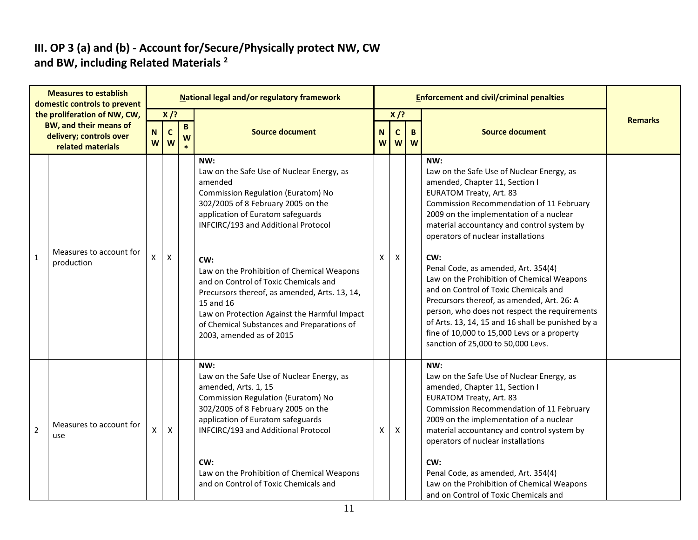### **III. OP 3 (a) and (b) - Account for/Secure/Physically protect NW, CW and BW, including Related Materials <sup>2</sup>**

|                | <b>Measures to establish</b><br>domestic controls to prevent                                                  |                  |                            |                      | National legal and/or regulatory framework                                                                                                                                                                                                                                                                                                                                                                                                                                                                |   |                        | <b>Enforcement and civil/criminal penalties</b> |                                                                                                                                                                                                                                                                                                                                                                                                                                                                                                                                                                                                                                                                               |  |
|----------------|---------------------------------------------------------------------------------------------------------------|------------------|----------------------------|----------------------|-----------------------------------------------------------------------------------------------------------------------------------------------------------------------------------------------------------------------------------------------------------------------------------------------------------------------------------------------------------------------------------------------------------------------------------------------------------------------------------------------------------|---|------------------------|-------------------------------------------------|-------------------------------------------------------------------------------------------------------------------------------------------------------------------------------------------------------------------------------------------------------------------------------------------------------------------------------------------------------------------------------------------------------------------------------------------------------------------------------------------------------------------------------------------------------------------------------------------------------------------------------------------------------------------------------|--|
|                | the proliferation of NW, CW,<br><b>BW, and their means of</b><br>delivery; controls over<br>related materials | $\mathbf N$<br>W | $X$ /?<br>$\mathbf c$<br>W | $\, {\bf B} \,$<br>W | $X$ /?<br><b>Source document</b><br>$\mathbf N$<br>$\mathbf c$<br>B.<br>W<br>W<br>W                                                                                                                                                                                                                                                                                                                                                                                                                       |   | <b>Source document</b> | <b>Remarks</b>                                  |                                                                                                                                                                                                                                                                                                                                                                                                                                                                                                                                                                                                                                                                               |  |
| $\mathbf{1}$   | Measures to account for<br>production                                                                         | X                | $\pmb{\mathsf{X}}$         |                      | NW:<br>Law on the Safe Use of Nuclear Energy, as<br>amended<br>Commission Regulation (Euratom) No<br>302/2005 of 8 February 2005 on the<br>application of Euratom safeguards<br>INFCIRC/193 and Additional Protocol<br>CW:<br>Law on the Prohibition of Chemical Weapons<br>and on Control of Toxic Chemicals and<br>Precursors thereof, as amended, Arts. 13, 14,<br>15 and 16<br>Law on Protection Against the Harmful Impact<br>of Chemical Substances and Preparations of<br>2003, amended as of 2015 | X | X                      |                                                 | NW:<br>Law on the Safe Use of Nuclear Energy, as<br>amended, Chapter 11, Section I<br><b>EURATOM Treaty, Art. 83</b><br>Commission Recommendation of 11 February<br>2009 on the implementation of a nuclear<br>material accountancy and control system by<br>operators of nuclear installations<br>CW:<br>Penal Code, as amended, Art. 354(4)<br>Law on the Prohibition of Chemical Weapons<br>and on Control of Toxic Chemicals and<br>Precursors thereof, as amended, Art. 26: A<br>person, who does not respect the requirements<br>of Arts. 13, 14, 15 and 16 shall be punished by a<br>fine of 10,000 to 15,000 Levs or a property<br>sanction of 25,000 to 50,000 Levs. |  |
| $\overline{2}$ | Measures to account for<br>use                                                                                | X                | X                          |                      | NW:<br>Law on the Safe Use of Nuclear Energy, as<br>amended, Arts. 1, 15<br>Commission Regulation (Euratom) No<br>302/2005 of 8 February 2005 on the<br>application of Euratom safeguards<br>INFCIRC/193 and Additional Protocol<br>CW:<br>Law on the Prohibition of Chemical Weapons<br>and on Control of Toxic Chemicals and                                                                                                                                                                            | X | Χ                      |                                                 | NW:<br>Law on the Safe Use of Nuclear Energy, as<br>amended, Chapter 11, Section I<br><b>EURATOM Treaty, Art. 83</b><br>Commission Recommendation of 11 February<br>2009 on the implementation of a nuclear<br>material accountancy and control system by<br>operators of nuclear installations<br>CW:<br>Penal Code, as amended, Art. 354(4)<br>Law on the Prohibition of Chemical Weapons<br>and on Control of Toxic Chemicals and                                                                                                                                                                                                                                          |  |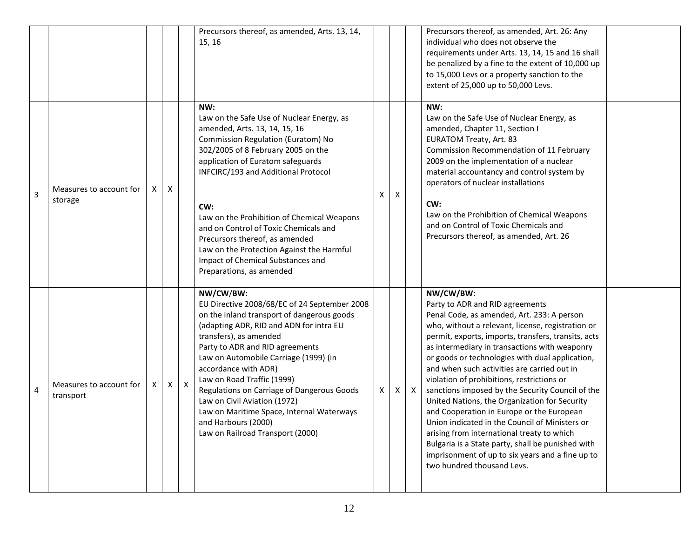|   |                                      |   |   |              | Precursors thereof, as amended, Arts. 13, 14,<br>15, 16                                                                                                                                                                                                                                                                                                                                                                                                                                              |   |   |              | Precursors thereof, as amended, Art. 26: Any<br>individual who does not observe the<br>requirements under Arts. 13, 14, 15 and 16 shall<br>be penalized by a fine to the extent of 10,000 up<br>to 15,000 Levs or a property sanction to the<br>extent of 25,000 up to 50,000 Levs.                                                                                                                                                                                                                                                                                                                                                                                                                                                                                                              |  |
|---|--------------------------------------|---|---|--------------|------------------------------------------------------------------------------------------------------------------------------------------------------------------------------------------------------------------------------------------------------------------------------------------------------------------------------------------------------------------------------------------------------------------------------------------------------------------------------------------------------|---|---|--------------|--------------------------------------------------------------------------------------------------------------------------------------------------------------------------------------------------------------------------------------------------------------------------------------------------------------------------------------------------------------------------------------------------------------------------------------------------------------------------------------------------------------------------------------------------------------------------------------------------------------------------------------------------------------------------------------------------------------------------------------------------------------------------------------------------|--|
| 3 | Measures to account for<br>storage   | X | Χ |              | NW:<br>Law on the Safe Use of Nuclear Energy, as<br>amended, Arts. 13, 14, 15, 16<br>Commission Regulation (Euratom) No<br>302/2005 of 8 February 2005 on the<br>application of Euratom safeguards<br>INFCIRC/193 and Additional Protocol<br>CW:<br>Law on the Prohibition of Chemical Weapons<br>and on Control of Toxic Chemicals and<br>Precursors thereof, as amended<br>Law on the Protection Against the Harmful<br>Impact of Chemical Substances and<br>Preparations, as amended              | X | Χ |              | NW:<br>Law on the Safe Use of Nuclear Energy, as<br>amended, Chapter 11, Section I<br><b>EURATOM Treaty, Art. 83</b><br>Commission Recommendation of 11 February<br>2009 on the implementation of a nuclear<br>material accountancy and control system by<br>operators of nuclear installations<br>CW:<br>Law on the Prohibition of Chemical Weapons<br>and on Control of Toxic Chemicals and<br>Precursors thereof, as amended, Art. 26                                                                                                                                                                                                                                                                                                                                                         |  |
| 4 | Measures to account for<br>transport | X | X | $\mathsf{X}$ | NW/CW/BW:<br>EU Directive 2008/68/EC of 24 September 2008<br>on the inland transport of dangerous goods<br>(adapting ADR, RID and ADN for intra EU<br>transfers), as amended<br>Party to ADR and RID agreements<br>Law on Automobile Carriage (1999) (in<br>accordance with ADR)<br>Law on Road Traffic (1999)<br>Regulations on Carriage of Dangerous Goods<br>Law on Civil Aviation (1972)<br>Law on Maritime Space, Internal Waterways<br>and Harbours (2000)<br>Law on Railroad Transport (2000) | Х | X | $\mathsf{X}$ | NW/CW/BW:<br>Party to ADR and RID agreements<br>Penal Code, as amended, Art. 233: A person<br>who, without a relevant, license, registration or<br>permit, exports, imports, transfers, transits, acts<br>as intermediary in transactions with weaponry<br>or goods or technologies with dual application,<br>and when such activities are carried out in<br>violation of prohibitions, restrictions or<br>sanctions imposed by the Security Council of the<br>United Nations, the Organization for Security<br>and Cooperation in Europe or the European<br>Union indicated in the Council of Ministers or<br>arising from international treaty to which<br>Bulgaria is a State party, shall be punished with<br>imprisonment of up to six years and a fine up to<br>two hundred thousand Levs. |  |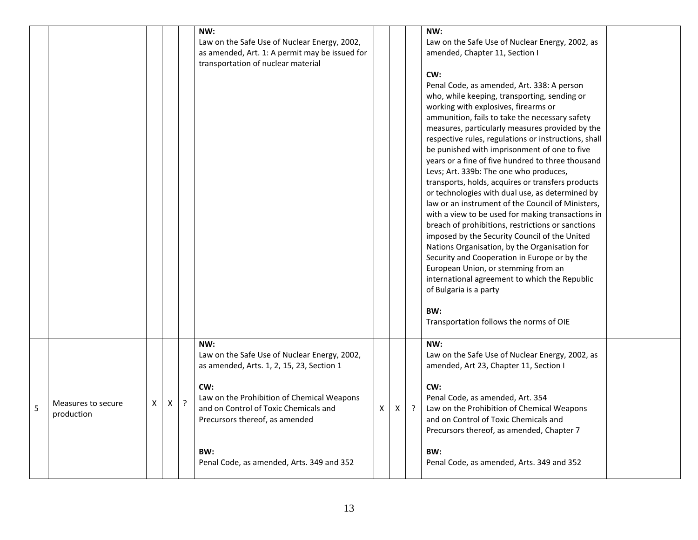|   |                                  |                |   |         | NW:<br>Law on the Safe Use of Nuclear Energy, 2002,<br>as amended, Art. 1: A permit may be issued for<br>transportation of nuclear material                                                                                                                                          |   |   |         | NW:<br>Law on the Safe Use of Nuclear Energy, 2002, as<br>amended, Chapter 11, Section I<br>CW:<br>Penal Code, as amended, Art. 338: A person<br>who, while keeping, transporting, sending or<br>working with explosives, firearms or<br>ammunition, fails to take the necessary safety<br>measures, particularly measures provided by the<br>respective rules, regulations or instructions, shall<br>be punished with imprisonment of one to five<br>years or a fine of five hundred to three thousand<br>Levs; Art. 339b: The one who produces,<br>transports, holds, acquires or transfers products<br>or technologies with dual use, as determined by<br>law or an instrument of the Council of Ministers,<br>with a view to be used for making transactions in<br>breach of prohibitions, restrictions or sanctions<br>imposed by the Security Council of the United<br>Nations Organisation, by the Organisation for<br>Security and Cooperation in Europe or by the<br>European Union, or stemming from an<br>international agreement to which the Republic<br>of Bulgaria is a party<br>BW:<br>Transportation follows the norms of OIE |  |
|---|----------------------------------|----------------|---|---------|--------------------------------------------------------------------------------------------------------------------------------------------------------------------------------------------------------------------------------------------------------------------------------------|---|---|---------|------------------------------------------------------------------------------------------------------------------------------------------------------------------------------------------------------------------------------------------------------------------------------------------------------------------------------------------------------------------------------------------------------------------------------------------------------------------------------------------------------------------------------------------------------------------------------------------------------------------------------------------------------------------------------------------------------------------------------------------------------------------------------------------------------------------------------------------------------------------------------------------------------------------------------------------------------------------------------------------------------------------------------------------------------------------------------------------------------------------------------------------------|--|
| 5 | Measures to secure<br>production | $\pmb{\times}$ | X | $\cdot$ | NW:<br>Law on the Safe Use of Nuclear Energy, 2002,<br>as amended, Arts. 1, 2, 15, 23, Section 1<br>CW:<br>Law on the Prohibition of Chemical Weapons<br>and on Control of Toxic Chemicals and<br>Precursors thereof, as amended<br>BW:<br>Penal Code, as amended, Arts. 349 and 352 | X | X | $\cdot$ | NW:<br>Law on the Safe Use of Nuclear Energy, 2002, as<br>amended, Art 23, Chapter 11, Section I<br>CW:<br>Penal Code, as amended, Art. 354<br>Law on the Prohibition of Chemical Weapons<br>and on Control of Toxic Chemicals and<br>Precursors thereof, as amended, Chapter 7<br>BW:<br>Penal Code, as amended, Arts. 349 and 352                                                                                                                                                                                                                                                                                                                                                                                                                                                                                                                                                                                                                                                                                                                                                                                                            |  |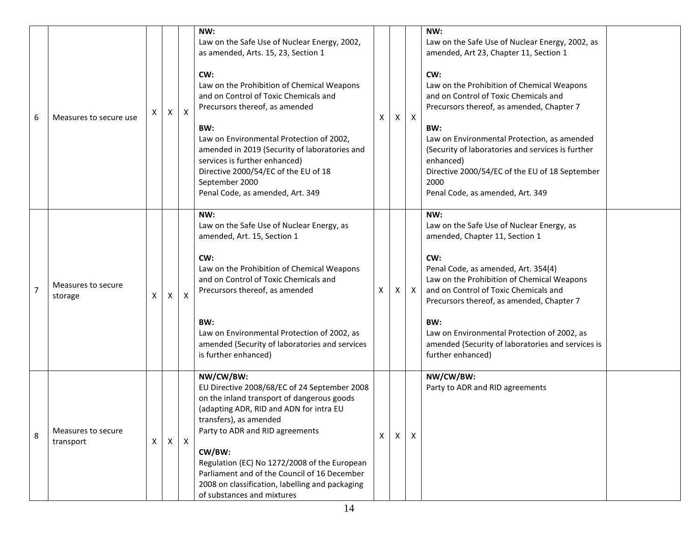| 6 | Measures to secure use          | X | Χ            | $\mathsf{x}$ | NW:<br>Law on the Safe Use of Nuclear Energy, 2002,<br>as amended, Arts. 15, 23, Section 1<br>CW:<br>Law on the Prohibition of Chemical Weapons<br>and on Control of Toxic Chemicals and<br>Precursors thereof, as amended<br>BW:<br>Law on Environmental Protection of 2002,<br>amended in 2019 (Security of laboratories and<br>services is further enhanced)<br>Directive 2000/54/EC of the EU of 18<br>September 2000<br>Penal Code, as amended, Art. 349 | X | X | $\mathsf{X}$ | NW:<br>Law on the Safe Use of Nuclear Energy, 2002, as<br>amended, Art 23, Chapter 11, Section 1<br>CW:<br>Law on the Prohibition of Chemical Weapons<br>and on Control of Toxic Chemicals and<br>Precursors thereof, as amended, Chapter 7<br>BW:<br>Law on Environmental Protection, as amended<br>(Security of laboratories and services is further<br>enhanced)<br>Directive 2000/54/EC of the EU of 18 September<br>2000<br>Penal Code, as amended, Art. 349 |  |
|---|---------------------------------|---|--------------|--------------|---------------------------------------------------------------------------------------------------------------------------------------------------------------------------------------------------------------------------------------------------------------------------------------------------------------------------------------------------------------------------------------------------------------------------------------------------------------|---|---|--------------|-------------------------------------------------------------------------------------------------------------------------------------------------------------------------------------------------------------------------------------------------------------------------------------------------------------------------------------------------------------------------------------------------------------------------------------------------------------------|--|
| 7 | Measures to secure<br>storage   | Х | Χ            | X            | NW:<br>Law on the Safe Use of Nuclear Energy, as<br>amended, Art. 15, Section 1<br>CW:<br>Law on the Prohibition of Chemical Weapons<br>and on Control of Toxic Chemicals and<br>Precursors thereof, as amended<br>BW:<br>Law on Environmental Protection of 2002, as<br>amended (Security of laboratories and services<br>is further enhanced)                                                                                                               | X | X | $\mathsf{X}$ | NW:<br>Law on the Safe Use of Nuclear Energy, as<br>amended, Chapter 11, Section 1<br>CW:<br>Penal Code, as amended, Art. 354(4)<br>Law on the Prohibition of Chemical Weapons<br>and on Control of Toxic Chemicals and<br>Precursors thereof, as amended, Chapter 7<br>BW:<br>Law on Environmental Protection of 2002, as<br>amended (Security of laboratories and services is<br>further enhanced)                                                              |  |
| 8 | Measures to secure<br>transport | X | $\mathsf{X}$ | $\mathsf{X}$ | NW/CW/BW:<br>EU Directive 2008/68/EC of 24 September 2008<br>on the inland transport of dangerous goods<br>(adapting ADR, RID and ADN for intra EU<br>transfers), as amended<br>Party to ADR and RID agreements<br>CW/BW:<br>Regulation (EC) No 1272/2008 of the European<br>Parliament and of the Council of 16 December<br>2008 on classification, labelling and packaging<br>of substances and mixtures                                                    | X | X | X            | NW/CW/BW:<br>Party to ADR and RID agreements                                                                                                                                                                                                                                                                                                                                                                                                                      |  |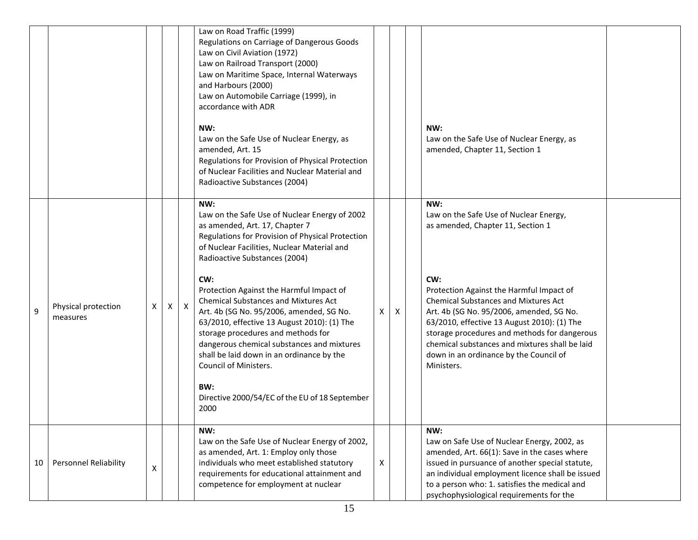|    |                                 |   |   |              | Law on Road Traffic (1999)<br>Regulations on Carriage of Dangerous Goods<br>Law on Civil Aviation (1972)<br>Law on Railroad Transport (2000)<br>Law on Maritime Space, Internal Waterways<br>and Harbours (2000)<br>Law on Automobile Carriage (1999), in<br>accordance with ADR                                                                                                                                            |   |   |                                                                                                                                                                                                                                                                                                                                                     |  |
|----|---------------------------------|---|---|--------------|-----------------------------------------------------------------------------------------------------------------------------------------------------------------------------------------------------------------------------------------------------------------------------------------------------------------------------------------------------------------------------------------------------------------------------|---|---|-----------------------------------------------------------------------------------------------------------------------------------------------------------------------------------------------------------------------------------------------------------------------------------------------------------------------------------------------------|--|
|    |                                 |   |   |              | NW:<br>Law on the Safe Use of Nuclear Energy, as<br>amended, Art. 15<br>Regulations for Provision of Physical Protection<br>of Nuclear Facilities and Nuclear Material and<br>Radioactive Substances (2004)                                                                                                                                                                                                                 |   |   | NW:<br>Law on the Safe Use of Nuclear Energy, as<br>amended, Chapter 11, Section 1                                                                                                                                                                                                                                                                  |  |
|    |                                 |   |   |              | NW:<br>Law on the Safe Use of Nuclear Energy of 2002<br>as amended, Art. 17, Chapter 7<br>Regulations for Provision of Physical Protection<br>of Nuclear Facilities, Nuclear Material and<br>Radioactive Substances (2004)                                                                                                                                                                                                  |   |   | NW:<br>Law on the Safe Use of Nuclear Energy,<br>as amended, Chapter 11, Section 1                                                                                                                                                                                                                                                                  |  |
| 9  | Physical protection<br>measures | X | X | $\mathsf{X}$ | CW:<br>Protection Against the Harmful Impact of<br><b>Chemical Substances and Mixtures Act</b><br>Art. 4b (SG No. 95/2006, amended, SG No.<br>63/2010, effective 13 August 2010): (1) The<br>storage procedures and methods for<br>dangerous chemical substances and mixtures<br>shall be laid down in an ordinance by the<br><b>Council of Ministers.</b><br>BW:<br>Directive 2000/54/EC of the EU of 18 September<br>2000 | X | X | CW:<br>Protection Against the Harmful Impact of<br><b>Chemical Substances and Mixtures Act</b><br>Art. 4b (SG No. 95/2006, amended, SG No.<br>63/2010, effective 13 August 2010): (1) The<br>storage procedures and methods for dangerous<br>chemical substances and mixtures shall be laid<br>down in an ordinance by the Council of<br>Ministers. |  |
|    |                                 |   |   |              |                                                                                                                                                                                                                                                                                                                                                                                                                             |   |   |                                                                                                                                                                                                                                                                                                                                                     |  |
| 10 | Personnel Reliability           | X |   |              | NW:<br>Law on the Safe Use of Nuclear Energy of 2002,<br>as amended, Art. 1: Employ only those<br>individuals who meet established statutory<br>requirements for educational attainment and<br>competence for employment at nuclear                                                                                                                                                                                         | X |   | NW:<br>Law on Safe Use of Nuclear Energy, 2002, as<br>amended, Art. 66(1): Save in the cases where<br>issued in pursuance of another special statute,<br>an individual employment licence shall be issued<br>to a person who: 1. satisfies the medical and<br>psychophysiological requirements for the                                              |  |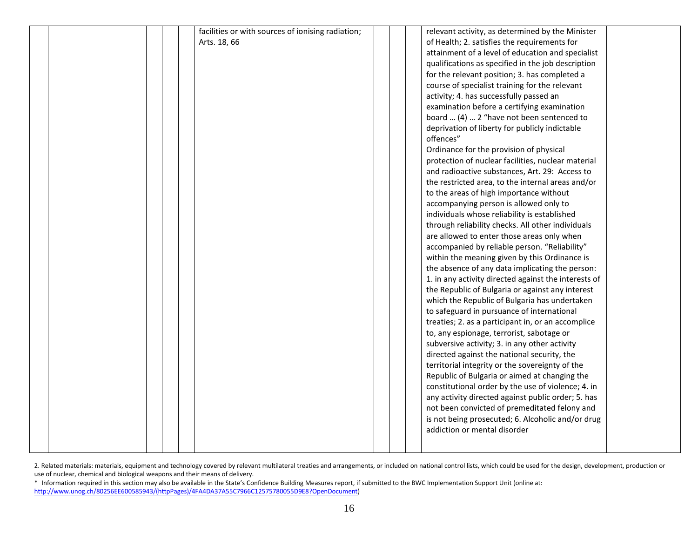|  |  | facilities or with sources of ionising radiation; |  | relevant activity, as determined by the Minister     |  |
|--|--|---------------------------------------------------|--|------------------------------------------------------|--|
|  |  | Arts. 18, 66                                      |  | of Health; 2. satisfies the requirements for         |  |
|  |  |                                                   |  | attainment of a level of education and specialist    |  |
|  |  |                                                   |  | qualifications as specified in the job description   |  |
|  |  |                                                   |  | for the relevant position; 3. has completed a        |  |
|  |  |                                                   |  | course of specialist training for the relevant       |  |
|  |  |                                                   |  | activity; 4. has successfully passed an              |  |
|  |  |                                                   |  | examination before a certifying examination          |  |
|  |  |                                                   |  | board  (4)  2 "have not been sentenced to            |  |
|  |  |                                                   |  | deprivation of liberty for publicly indictable       |  |
|  |  |                                                   |  | offences"                                            |  |
|  |  |                                                   |  | Ordinance for the provision of physical              |  |
|  |  |                                                   |  | protection of nuclear facilities, nuclear material   |  |
|  |  |                                                   |  | and radioactive substances, Art. 29: Access to       |  |
|  |  |                                                   |  | the restricted area, to the internal areas and/or    |  |
|  |  |                                                   |  | to the areas of high importance without              |  |
|  |  |                                                   |  | accompanying person is allowed only to               |  |
|  |  |                                                   |  | individuals whose reliability is established         |  |
|  |  |                                                   |  | through reliability checks. All other individuals    |  |
|  |  |                                                   |  | are allowed to enter those areas only when           |  |
|  |  |                                                   |  | accompanied by reliable person. "Reliability"        |  |
|  |  |                                                   |  | within the meaning given by this Ordinance is        |  |
|  |  |                                                   |  | the absence of any data implicating the person:      |  |
|  |  |                                                   |  | 1. in any activity directed against the interests of |  |
|  |  |                                                   |  | the Republic of Bulgaria or against any interest     |  |
|  |  |                                                   |  | which the Republic of Bulgaria has undertaken        |  |
|  |  |                                                   |  | to safeguard in pursuance of international           |  |
|  |  |                                                   |  | treaties; 2. as a participant in, or an accomplice   |  |
|  |  |                                                   |  | to, any espionage, terrorist, sabotage or            |  |
|  |  |                                                   |  | subversive activity; 3. in any other activity        |  |
|  |  |                                                   |  | directed against the national security, the          |  |
|  |  |                                                   |  | territorial integrity or the sovereignty of the      |  |
|  |  |                                                   |  | Republic of Bulgaria or aimed at changing the        |  |
|  |  |                                                   |  | constitutional order by the use of violence; 4. in   |  |
|  |  |                                                   |  | any activity directed against public order; 5. has   |  |
|  |  |                                                   |  | not been convicted of premeditated felony and        |  |
|  |  |                                                   |  | is not being prosecuted; 6. Alcoholic and/or drug    |  |
|  |  |                                                   |  | addiction or mental disorder                         |  |
|  |  |                                                   |  |                                                      |  |
|  |  |                                                   |  |                                                      |  |

2. Related materials: materials, equipment and technology covered by relevant multilateral treaties and arrangements, or included on national control lists, which could be used for the design, development, production or use of nuclear, chemical and biological weapons and their means of delivery.

\* Information required in this section may also be available in the State's Confidence Building Measures report, if submitted to the BWC Implementation Support Unit (online at: [http://www.unog.ch/80256EE600585943/\(httpPages\)/4FA4DA37A55C7966C12575780055D9E8?OpenDocument\)](http://www.unog.ch/80256EE600585943/(httpPages)/4FA4DA37A55C7966C12575780055D9E8?OpenDocument)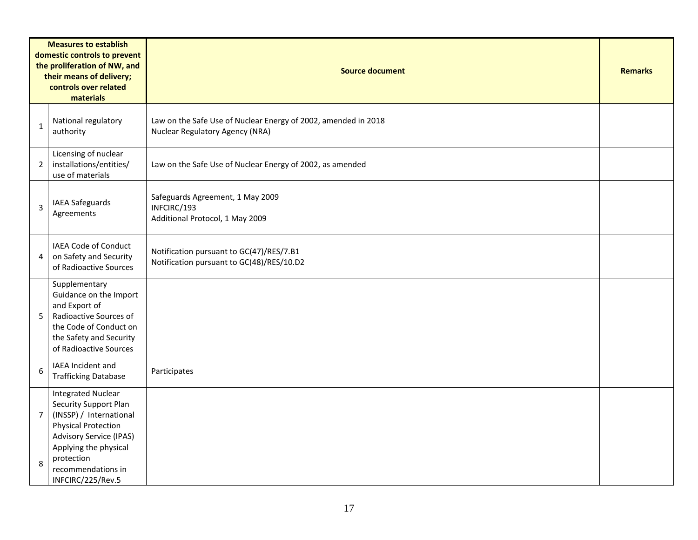| <b>Measures to establish</b><br>domestic controls to prevent<br>the proliferation of NW, and<br>their means of delivery;<br>controls over related<br>materials |                                                                                                                                                                   | <b>Source document</b>                                                                            |  |  |  |  |  |  |
|----------------------------------------------------------------------------------------------------------------------------------------------------------------|-------------------------------------------------------------------------------------------------------------------------------------------------------------------|---------------------------------------------------------------------------------------------------|--|--|--|--|--|--|
| $\mathbf{1}$                                                                                                                                                   | National regulatory<br>authority                                                                                                                                  | Law on the Safe Use of Nuclear Energy of 2002, amended in 2018<br>Nuclear Regulatory Agency (NRA) |  |  |  |  |  |  |
| $\overline{2}$                                                                                                                                                 | Licensing of nuclear<br>installations/entities/<br>use of materials                                                                                               | Law on the Safe Use of Nuclear Energy of 2002, as amended                                         |  |  |  |  |  |  |
| 3                                                                                                                                                              | IAEA Safeguards<br>Agreements                                                                                                                                     | Safeguards Agreement, 1 May 2009<br>INFCIRC/193<br>Additional Protocol, 1 May 2009                |  |  |  |  |  |  |
| 4                                                                                                                                                              | IAEA Code of Conduct<br>on Safety and Security<br>of Radioactive Sources                                                                                          | Notification pursuant to GC(47)/RES/7.B1<br>Notification pursuant to GC(48)/RES/10.D2             |  |  |  |  |  |  |
| 5                                                                                                                                                              | Supplementary<br>Guidance on the Import<br>and Export of<br>Radioactive Sources of<br>the Code of Conduct on<br>the Safety and Security<br>of Radioactive Sources |                                                                                                   |  |  |  |  |  |  |
| 6                                                                                                                                                              | IAEA Incident and<br><b>Trafficking Database</b>                                                                                                                  | Participates                                                                                      |  |  |  |  |  |  |
| $\overline{7}$                                                                                                                                                 | <b>Integrated Nuclear</b><br>Security Support Plan<br>(INSSP) / International<br><b>Physical Protection</b><br><b>Advisory Service (IPAS)</b>                     |                                                                                                   |  |  |  |  |  |  |
| 8                                                                                                                                                              | Applying the physical<br>protection<br>recommendations in<br>INFCIRC/225/Rev.5                                                                                    |                                                                                                   |  |  |  |  |  |  |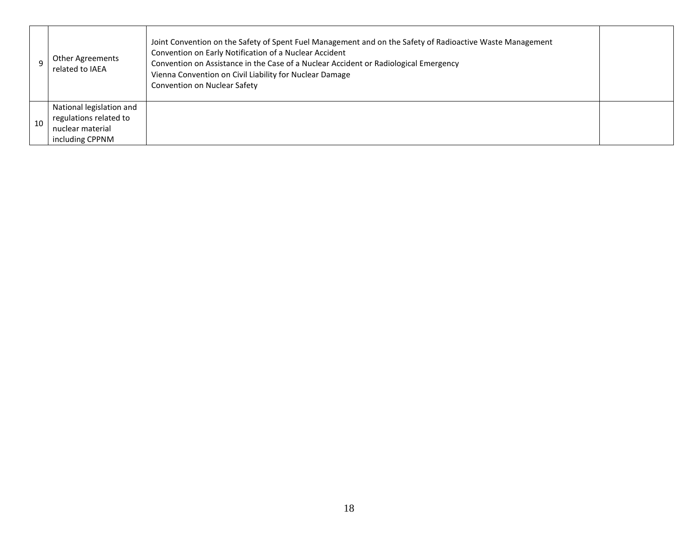|    | <b>Other Agreements</b><br>related to IAEA                                                | Joint Convention on the Safety of Spent Fuel Management and on the Safety of Radioactive Waste Management<br>Convention on Early Notification of a Nuclear Accident<br>Convention on Assistance in the Case of a Nuclear Accident or Radiological Emergency<br>Vienna Convention on Civil Liability for Nuclear Damage<br>Convention on Nuclear Safety |  |
|----|-------------------------------------------------------------------------------------------|--------------------------------------------------------------------------------------------------------------------------------------------------------------------------------------------------------------------------------------------------------------------------------------------------------------------------------------------------------|--|
| 10 | National legislation and<br>regulations related to<br>nuclear material<br>including CPPNM |                                                                                                                                                                                                                                                                                                                                                        |  |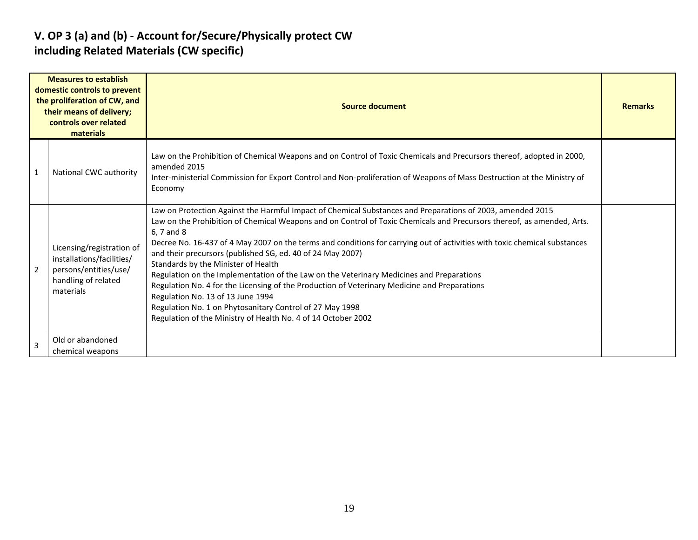### **V. OP 3 (a) and (b) - Account for/Secure/Physically protect CW including Related Materials (CW specific)**

|                         | <b>Measures to establish</b><br>domestic controls to prevent<br>the proliferation of CW, and<br>their means of delivery;<br>controls over related<br>materials | Source document                                                                                                                                                                                                                                                                                                                                                                                                                                                                                                                                                                                                                                                                                                                                                                                                                                    |  |  |  |  |  |
|-------------------------|----------------------------------------------------------------------------------------------------------------------------------------------------------------|----------------------------------------------------------------------------------------------------------------------------------------------------------------------------------------------------------------------------------------------------------------------------------------------------------------------------------------------------------------------------------------------------------------------------------------------------------------------------------------------------------------------------------------------------------------------------------------------------------------------------------------------------------------------------------------------------------------------------------------------------------------------------------------------------------------------------------------------------|--|--|--|--|--|
| $\overline{\mathbf{1}}$ | National CWC authority                                                                                                                                         | Law on the Prohibition of Chemical Weapons and on Control of Toxic Chemicals and Precursors thereof, adopted in 2000,<br>amended 2015<br>Inter-ministerial Commission for Export Control and Non-proliferation of Weapons of Mass Destruction at the Ministry of<br>Economy                                                                                                                                                                                                                                                                                                                                                                                                                                                                                                                                                                        |  |  |  |  |  |
| $\overline{2}$          | Licensing/registration of<br>installations/facilities/<br>persons/entities/use/<br>handling of related<br>materials                                            | Law on Protection Against the Harmful Impact of Chemical Substances and Preparations of 2003, amended 2015<br>Law on the Prohibition of Chemical Weapons and on Control of Toxic Chemicals and Precursors thereof, as amended, Arts.<br>6, 7 and 8<br>Decree No. 16-437 of 4 May 2007 on the terms and conditions for carrying out of activities with toxic chemical substances<br>and their precursors (published SG, ed. 40 of 24 May 2007)<br>Standards by the Minister of Health<br>Regulation on the Implementation of the Law on the Veterinary Medicines and Preparations<br>Regulation No. 4 for the Licensing of the Production of Veterinary Medicine and Preparations<br>Regulation No. 13 of 13 June 1994<br>Regulation No. 1 on Phytosanitary Control of 27 May 1998<br>Regulation of the Ministry of Health No. 4 of 14 October 2002 |  |  |  |  |  |
| $\overline{3}$          | Old or abandoned<br>chemical weapons                                                                                                                           |                                                                                                                                                                                                                                                                                                                                                                                                                                                                                                                                                                                                                                                                                                                                                                                                                                                    |  |  |  |  |  |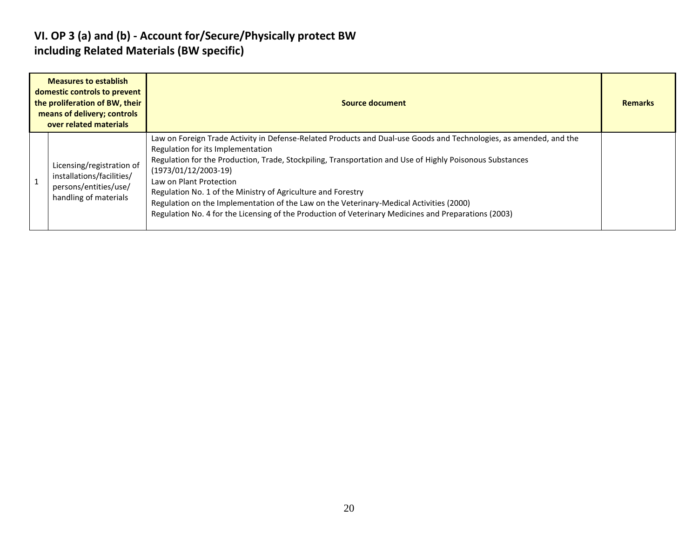### **VI. OP 3 (a) and (b) - Account for/Secure/Physically protect BW including Related Materials (BW specific)**

| <b>Measures to establish</b><br>domestic controls to prevent<br>the proliferation of BW, their<br>means of delivery; controls<br>over related materials | Source document                                                                                                                                                                                                                                                                                                                                                                                                                                                                                                                                                                             |  |  |  |  |  |  |
|---------------------------------------------------------------------------------------------------------------------------------------------------------|---------------------------------------------------------------------------------------------------------------------------------------------------------------------------------------------------------------------------------------------------------------------------------------------------------------------------------------------------------------------------------------------------------------------------------------------------------------------------------------------------------------------------------------------------------------------------------------------|--|--|--|--|--|--|
| Licensing/registration of<br>installations/facilities/<br>persons/entities/use/<br>handling of materials                                                | Law on Foreign Trade Activity in Defense-Related Products and Dual-use Goods and Technologies, as amended, and the<br>Regulation for its Implementation<br>Regulation for the Production, Trade, Stockpiling, Transportation and Use of Highly Poisonous Substances<br>$(1973/01/12/2003-19)$<br>Law on Plant Protection<br>Regulation No. 1 of the Ministry of Agriculture and Forestry<br>Regulation on the Implementation of the Law on the Veterinary-Medical Activities (2000)<br>Regulation No. 4 for the Licensing of the Production of Veterinary Medicines and Preparations (2003) |  |  |  |  |  |  |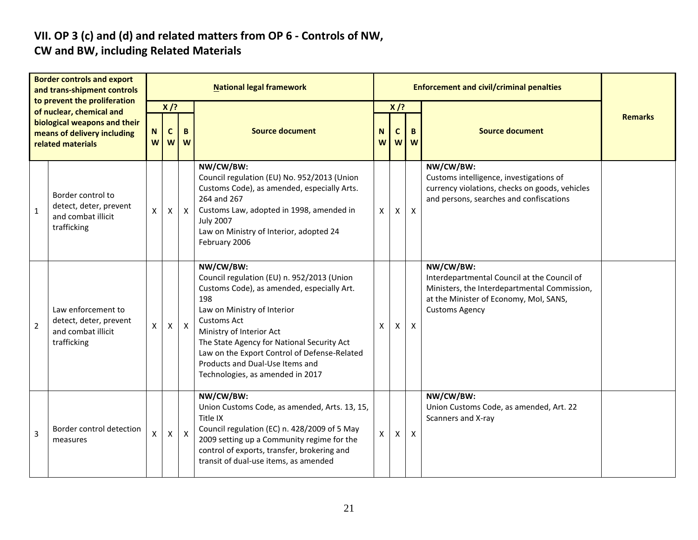# **VII. OP 3 (c) and (d) and related matters from OP 6 - Controls of NW,**

### **CW and BW, including Related Materials**

| <b>Border controls and export</b><br>and trans-shipment controls<br>to prevent the proliferation |                                                                                                              | <b>National legal framework</b> |                                    |              |                                                                                                                                                                                                                                                                                                                                                                    |        |                            | <b>Enforcement and civil/criminal penalties</b> |                                                                                                                                                                             |                |  |  |
|--------------------------------------------------------------------------------------------------|--------------------------------------------------------------------------------------------------------------|---------------------------------|------------------------------------|--------------|--------------------------------------------------------------------------------------------------------------------------------------------------------------------------------------------------------------------------------------------------------------------------------------------------------------------------------------------------------------------|--------|----------------------------|-------------------------------------------------|-----------------------------------------------------------------------------------------------------------------------------------------------------------------------------|----------------|--|--|
|                                                                                                  | of nuclear, chemical and<br>biological weapons and their<br>means of delivery including<br>related materials |                                 | $X$ /?<br>$\mathbf{C}$<br><b>W</b> | B<br>W       | <b>Source document</b>                                                                                                                                                                                                                                                                                                                                             | N<br>W | $X$ /?<br>$\mathbf c$<br>W | B<br>W                                          | <b>Source document</b>                                                                                                                                                      | <b>Remarks</b> |  |  |
| $\mathbf{1}$                                                                                     | Border control to<br>detect, deter, prevent<br>and combat illicit<br>trafficking                             | X                               | X                                  | $\mathsf{X}$ | NW/CW/BW:<br>Council regulation (EU) No. 952/2013 (Union<br>Customs Code), as amended, especially Arts.<br>264 and 267<br>Customs Law, adopted in 1998, amended in<br><b>July 2007</b><br>Law on Ministry of Interior, adopted 24<br>February 2006                                                                                                                 | X      | X                          | $\boldsymbol{\mathsf{X}}$                       | NW/CW/BW:<br>Customs intelligence, investigations of<br>currency violations, checks on goods, vehicles<br>and persons, searches and confiscations                           |                |  |  |
| $\overline{2}$                                                                                   | Law enforcement to<br>detect, deter, prevent<br>and combat illicit<br>trafficking                            | X                               | $\mathsf{X}$                       | $\mathsf{X}$ | NW/CW/BW:<br>Council regulation (EU) n. 952/2013 (Union<br>Customs Code), as amended, especially Art.<br>198<br>Law on Ministry of Interior<br><b>Customs Act</b><br>Ministry of Interior Act<br>The State Agency for National Security Act<br>Law on the Export Control of Defense-Related<br>Products and Dual-Use Items and<br>Technologies, as amended in 2017 | X      | $\mathsf{X}$               | $\pmb{\times}$                                  | NW/CW/BW:<br>Interdepartmental Council at the Council of<br>Ministers, the Interdepartmental Commission,<br>at the Minister of Economy, Mol, SANS,<br><b>Customs Agency</b> |                |  |  |
| 3                                                                                                | Border control detection<br>measures                                                                         | X                               | $\mathsf{X}$                       | $\mathsf{X}$ | NW/CW/BW:<br>Union Customs Code, as amended, Arts. 13, 15,<br>Title IX<br>Council regulation (EC) n. 428/2009 of 5 May<br>2009 setting up a Community regime for the<br>control of exports, transfer, brokering and<br>transit of dual-use items, as amended                                                                                                       | X      | X                          | $\pmb{\times}$                                  | NW/CW/BW:<br>Union Customs Code, as amended, Art. 22<br>Scanners and X-ray                                                                                                  |                |  |  |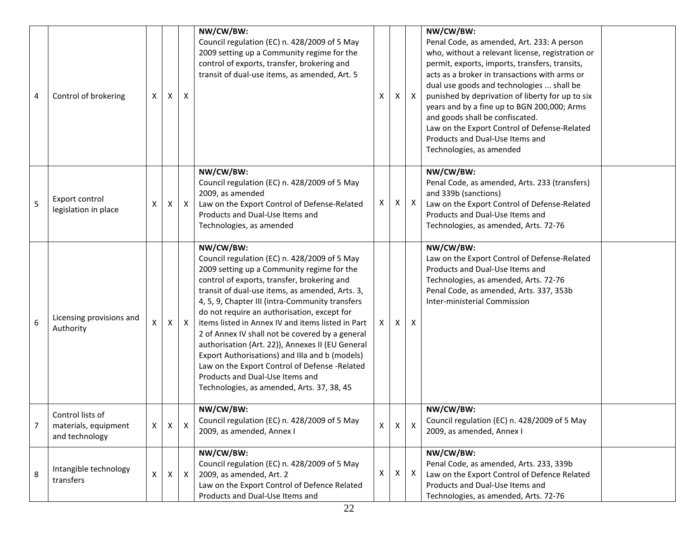| 4 | Control of brokering                                       | $\pmb{\times}$     | Χ            | X            | NW/CW/BW:<br>Council regulation (EC) n. 428/2009 of 5 May<br>2009 setting up a Community regime for the<br>control of exports, transfer, brokering and<br>transit of dual-use items, as amended, Art. 5                                                                                                                                                                                                                                                                                                                                                                                                                                                     | Χ  | X            | $\mathsf{X}$ | NW/CW/BW:<br>Penal Code, as amended, Art. 233: A person<br>who, without a relevant license, registration or<br>permit, exports, imports, transfers, transits,<br>acts as a broker in transactions with arms or<br>dual use goods and technologies  shall be<br>punished by deprivation of liberty for up to six<br>years and by a fine up to BGN 200,000; Arms<br>and goods shall be confiscated.<br>Law on the Export Control of Defense-Related<br>Products and Dual-Use Items and<br>Technologies, as amended |  |
|---|------------------------------------------------------------|--------------------|--------------|--------------|-------------------------------------------------------------------------------------------------------------------------------------------------------------------------------------------------------------------------------------------------------------------------------------------------------------------------------------------------------------------------------------------------------------------------------------------------------------------------------------------------------------------------------------------------------------------------------------------------------------------------------------------------------------|----|--------------|--------------|------------------------------------------------------------------------------------------------------------------------------------------------------------------------------------------------------------------------------------------------------------------------------------------------------------------------------------------------------------------------------------------------------------------------------------------------------------------------------------------------------------------|--|
| 5 | Export control<br>legislation in place                     | X                  | X            | $\mathsf{X}$ | NW/CW/BW:<br>Council regulation (EC) n. 428/2009 of 5 May<br>2009, as amended<br>Law on the Export Control of Defense-Related<br>Products and Dual-Use Items and<br>Technologies, as amended                                                                                                                                                                                                                                                                                                                                                                                                                                                                | X. | X.           | $\mathsf{X}$ | NW/CW/BW:<br>Penal Code, as amended, Arts. 233 (transfers)<br>and 339b (sanctions)<br>Law on the Export Control of Defense-Related<br>Products and Dual-Use Items and<br>Technologies, as amended, Arts. 72-76                                                                                                                                                                                                                                                                                                   |  |
| 6 | Licensing provisions and<br>Authority                      | X                  | Χ            | $\mathsf{X}$ | NW/CW/BW:<br>Council regulation (EC) n. 428/2009 of 5 May<br>2009 setting up a Community regime for the<br>control of exports, transfer, brokering and<br>transit of dual-use items, as amended, Arts. 3,<br>4, 5, 9, Chapter III (intra-Community transfers<br>do not require an authorisation, except for<br>items listed in Annex IV and items listed in Part<br>2 of Annex IV shall not be covered by a general<br>authorisation (Art. 22)), Annexes II (EU General<br>Export Authorisations) and IIIa and b (models)<br>Law on the Export Control of Defense -Related<br>Products and Dual-Use Items and<br>Technologies, as amended, Arts. 37, 38, 45 | X. | Χ            | X            | NW/CW/BW:<br>Law on the Export Control of Defense-Related<br>Products and Dual-Use Items and<br>Technologies, as amended, Arts. 72-76<br>Penal Code, as amended, Arts. 337, 353b<br>Inter-ministerial Commission                                                                                                                                                                                                                                                                                                 |  |
| 7 | Control lists of<br>materials, equipment<br>and technology | X                  | $\mathsf{X}$ | X            | NW/CW/BW:<br>Council regulation (EC) n. 428/2009 of 5 May<br>2009, as amended, Annex I                                                                                                                                                                                                                                                                                                                                                                                                                                                                                                                                                                      | X  | $\mathsf{X}$ | X            | NW/CW/BW:<br>Council regulation (EC) n. 428/2009 of 5 May<br>2009, as amended, Annex I                                                                                                                                                                                                                                                                                                                                                                                                                           |  |
| 8 | Intangible technology<br>transfers                         | $\pmb{\mathsf{X}}$ | $\mathsf{X}$ | $\mathsf{X}$ | NW/CW/BW:<br>Council regulation (EC) n. 428/2009 of 5 May<br>2009, as amended, Art. 2<br>Law on the Export Control of Defence Related<br>Products and Dual-Use Items and                                                                                                                                                                                                                                                                                                                                                                                                                                                                                    | X  | X            | $\mathsf{X}$ | NW/CW/BW:<br>Penal Code, as amended, Arts. 233, 339b<br>Law on the Export Control of Defence Related<br>Products and Dual-Use Items and<br>Technologies, as amended, Arts. 72-76                                                                                                                                                                                                                                                                                                                                 |  |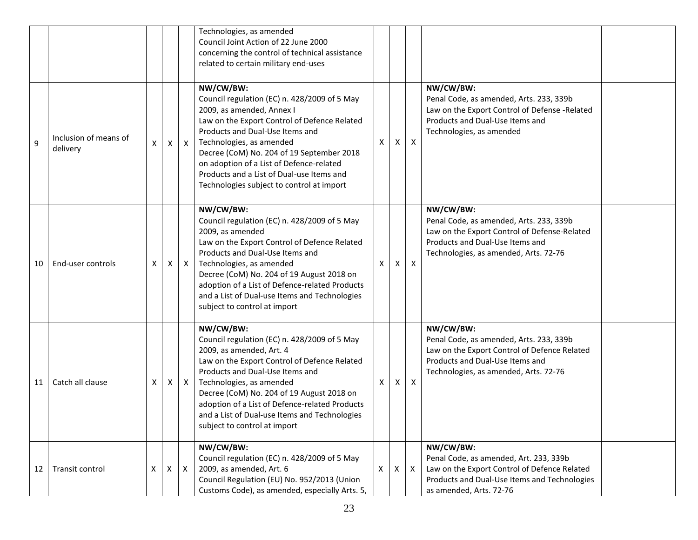|    |                                   |   |   |              | Technologies, as amended<br>Council Joint Action of 22 June 2000<br>concerning the control of technical assistance<br>related to certain military end-uses                                                                                                                                                                                                                               |   |   |                           |                                                                                                                                                                                  |  |
|----|-----------------------------------|---|---|--------------|------------------------------------------------------------------------------------------------------------------------------------------------------------------------------------------------------------------------------------------------------------------------------------------------------------------------------------------------------------------------------------------|---|---|---------------------------|----------------------------------------------------------------------------------------------------------------------------------------------------------------------------------|--|
| 9  | Inclusion of means of<br>delivery | Χ | X | $\mathsf{X}$ | NW/CW/BW:<br>Council regulation (EC) n. 428/2009 of 5 May<br>2009, as amended, Annex I<br>Law on the Export Control of Defence Related<br>Products and Dual-Use Items and<br>Technologies, as amended<br>Decree (CoM) No. 204 of 19 September 2018<br>on adoption of a List of Defence-related<br>Products and a List of Dual-use Items and<br>Technologies subject to control at import | X | X | $\mathsf{X}$              | NW/CW/BW:<br>Penal Code, as amended, Arts. 233, 339b<br>Law on the Export Control of Defense -Related<br>Products and Dual-Use Items and<br>Technologies, as amended             |  |
| 10 | End-user controls                 | Χ | X | $\mathsf{X}$ | NW/CW/BW:<br>Council regulation (EC) n. 428/2009 of 5 May<br>2009, as amended<br>Law on the Export Control of Defence Related<br>Products and Dual-Use Items and<br>Technologies, as amended<br>Decree (CoM) No. 204 of 19 August 2018 on<br>adoption of a List of Defence-related Products<br>and a List of Dual-use Items and Technologies<br>subject to control at import             | X | Χ | $\mathsf{X}$              | NW/CW/BW:<br>Penal Code, as amended, Arts. 233, 339b<br>Law on the Export Control of Defense-Related<br>Products and Dual-Use Items and<br>Technologies, as amended, Arts. 72-76 |  |
| 11 | Catch all clause                  | Χ | X | X            | NW/CW/BW:<br>Council regulation (EC) n. 428/2009 of 5 May<br>2009, as amended, Art. 4<br>Law on the Export Control of Defence Related<br>Products and Dual-Use Items and<br>Technologies, as amended<br>Decree (CoM) No. 204 of 19 August 2018 on<br>adoption of a List of Defence-related Products<br>and a List of Dual-use Items and Technologies<br>subject to control at import     | X | Χ | $\boldsymbol{\mathsf{X}}$ | NW/CW/BW:<br>Penal Code, as amended, Arts. 233, 339b<br>Law on the Export Control of Defence Related<br>Products and Dual-Use Items and<br>Technologies, as amended, Arts. 72-76 |  |
| 12 | Transit control                   | Χ | X | $\mathsf{X}$ | NW/CW/BW:<br>Council regulation (EC) n. 428/2009 of 5 May<br>2009, as amended, Art. 6<br>Council Regulation (EU) No. 952/2013 (Union<br>Customs Code), as amended, especially Arts. 5,                                                                                                                                                                                                   | Χ | X | $\boldsymbol{\mathsf{X}}$ | NW/CW/BW:<br>Penal Code, as amended, Art. 233, 339b<br>Law on the Export Control of Defence Related<br>Products and Dual-Use Items and Technologies<br>as amended, Arts. 72-76   |  |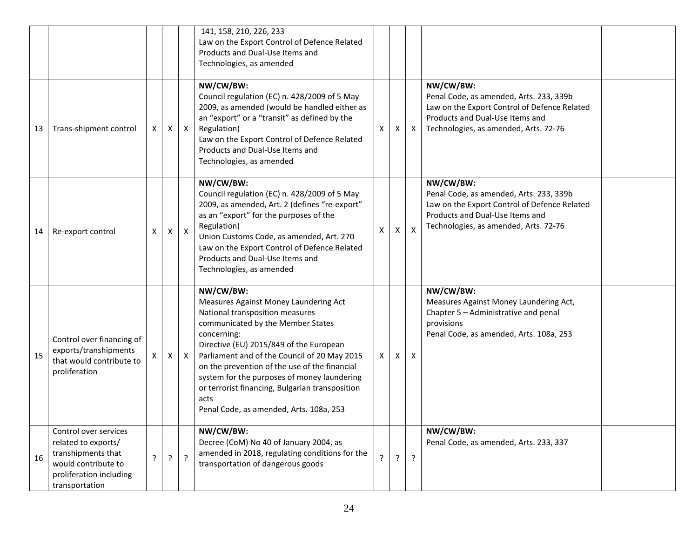|    |                                                                                                                                        |   |              |              | 141, 158, 210, 226, 233<br>Law on the Export Control of Defence Related<br>Products and Dual-Use Items and<br>Technologies, as amended                                                                                                                                                                                                                                                                                                     |    |   |                           |                                                                                                                                                                                  |  |
|----|----------------------------------------------------------------------------------------------------------------------------------------|---|--------------|--------------|--------------------------------------------------------------------------------------------------------------------------------------------------------------------------------------------------------------------------------------------------------------------------------------------------------------------------------------------------------------------------------------------------------------------------------------------|----|---|---------------------------|----------------------------------------------------------------------------------------------------------------------------------------------------------------------------------|--|
| 13 | Trans-shipment control                                                                                                                 | X | $\mathsf{X}$ | $\mathsf{X}$ | NW/CW/BW:<br>Council regulation (EC) n. 428/2009 of 5 May<br>2009, as amended (would be handled either as<br>an "export" or a "transit" as defined by the<br>Regulation)<br>Law on the Export Control of Defence Related<br>Products and Dual-Use Items and<br>Technologies, as amended                                                                                                                                                    | X  | X | $\boldsymbol{\mathsf{X}}$ | NW/CW/BW:<br>Penal Code, as amended, Arts. 233, 339b<br>Law on the Export Control of Defence Related<br>Products and Dual-Use Items and<br>Technologies, as amended, Arts. 72-76 |  |
| 14 | Re-export control                                                                                                                      | X | $\mathsf{X}$ | $\mathsf{X}$ | NW/CW/BW:<br>Council regulation (EC) n. 428/2009 of 5 May<br>2009, as amended, Art. 2 (defines "re-export"<br>as an "export" for the purposes of the<br>Regulation)<br>Union Customs Code, as amended, Art. 270<br>Law on the Export Control of Defence Related<br>Products and Dual-Use Items and<br>Technologies, as amended                                                                                                             | X  | X | $\boldsymbol{\mathsf{X}}$ | NW/CW/BW:<br>Penal Code, as amended, Arts. 233, 339b<br>Law on the Export Control of Defence Related<br>Products and Dual-Use Items and<br>Technologies, as amended, Arts. 72-76 |  |
| 15 | Control over financing of<br>exports/transhipments<br>that would contribute to<br>proliferation                                        | X | X            | $\mathsf{X}$ | NW/CW/BW:<br>Measures Against Money Laundering Act<br>National transposition measures<br>communicated by the Member States<br>concerning:<br>Directive (EU) 2015/849 of the European<br>Parliament and of the Council of 20 May 2015<br>on the prevention of the use of the financial<br>system for the purposes of money laundering<br>or terrorist financing, Bulgarian transposition<br>acts<br>Penal Code, as amended, Arts. 108a, 253 | X  | X | X                         | NW/CW/BW:<br>Measures Against Money Laundering Act,<br>Chapter 5 - Administrative and penal<br>provisions<br>Penal Code, as amended, Arts. 108a, 253                             |  |
| 16 | Control over services<br>related to exports/<br>transhipments that<br>would contribute to<br>proliferation including<br>transportation | 2 | ?            | $\cdot$      | NW/CW/BW:<br>Decree (CoM) No 40 of January 2004, as<br>amended in 2018, regulating conditions for the<br>transportation of dangerous goods                                                                                                                                                                                                                                                                                                 | ç. | ? | $\cdot$                   | NW/CW/BW:<br>Penal Code, as amended, Arts. 233, 337                                                                                                                              |  |